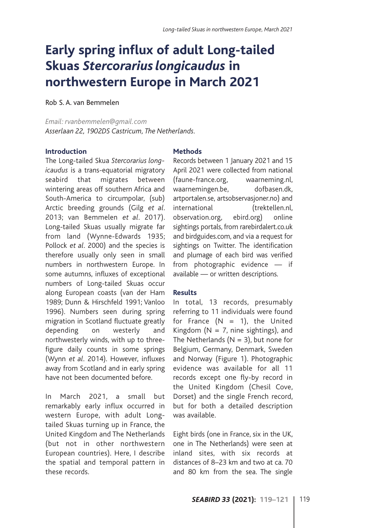# **Early spring influx of adult Long-tailed Skuas** *Stercorarius longicaudus* **in northwestern Europe in March 2021**

Rob S. A. van Bemmelen

*Email: rvanbemmelen@gmail.com Asserlaan 22, 1902DS Castricum, The Netherlands.* 

#### **Introduction**

The Long-tailed Skua *Stercorarius longicaudus* is a trans-equatorial migratory seabird that migrates between wintering areas off southern Africa and South-America to circumpolar, (sub) Arctic breeding grounds (Gilg *et al*. 2013; van Bemmelen *et al*. 2017). Long-tailed Skuas usually migrate far from land (Wynne-Edwards 1935; Pollock *et al*. 2000) and the species is therefore usually only seen in small numbers in northwestern Europe. In some autumns, influxes of exceptional numbers of Long-tailed Skuas occur along European coasts (van der Ham 1989; Dunn & Hirschfeld 1991; Vanloo 1996). Numbers seen during spring migration in Scotland fluctuate greatly depending on westerly and northwesterly winds, with up to threefigure daily counts in some springs (Wynn *et al*. 2014). However, influxes away from Scotland and in early spring have not been documented before.

In March 2021, a small but remarkably early influx occurred in western Europe, with adult Longtailed Skuas turning up in France, the United Kingdom and The Netherlands (but not in other northwestern European countries). Here, I describe the spatial and temporal pattern in these records.

## **Methods**

Records between 1 January 2021 and 15 April 2021 were collected from national (faune-france.org, waarneming.nl, waarnemingen.be, dofbasen.dk, artportalen.se, artsobservasjoner.no) and international (trektellen.nl, observation.org, ebird.org) online sightings portals, from rarebirdalert.co.uk and birdguides.com, and via a request for sightings on Twitter. The identification and plumage of each bird was verified from photographic evidence — if available — or written descriptions.

### **Results**

In total, 13 records, presumably referring to 11 individuals were found for France  $(N = 1)$ , the United Kingdom ( $N = 7$ , nine sightings), and The Netherlands ( $N = 3$ ), but none for Belgium, Germany, Denmark, Sweden and Norway (Figure 1). Photographic evidence was available for all 11 records except one fly-by record in the United Kingdom (Chesil Cove, Dorset) and the single French record, but for both a detailed description was available.

Eight birds (one in France, six in the UK, one in The Netherlands) were seen at inland sites, with six records at distances of 8–23 km and two at ca. 70 and 80 km from the sea. The single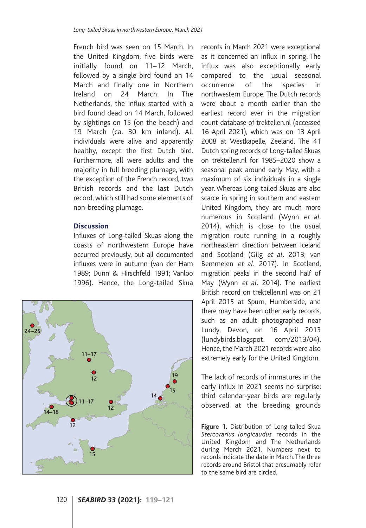French bird was seen on 15 March. In the United Kingdom, five birds were initially found on 11–12 March, followed by a single bird found on 14 March and finally one in Northern Ireland on 24 March. In The Netherlands, the influx started with a bird found dead on 14 March, followed by sightings on 15 (on the beach) and 19 March (ca. 30 km inland). All individuals were alive and apparently healthy, except the first Dutch bird. Furthermore, all were adults and the majority in full breeding plumage, with the exception of the French record, two British records and the last Dutch record, which still had some elements of non-breeding plumage.

#### **Discussion**

Influxes of Long-tailed Skuas along the coasts of northwestern Europe have occurred previously, but all documented influxes were in autumn (van der Ham 1989; Dunn & Hirschfeld 1991; Vanloo 1996). Hence, the Long-tailed Skua



records in March 2021 were exceptional as it concerned an influx in spring. The influx was also exceptionally early compared to the usual seasonal occurrence of the species in northwestern Europe. The Dutch records were about a month earlier than the earliest record ever in the migration count database of trektellen.nl (accessed 16 April 2021), which was on 13 April 2008 at Westkapelle, Zeeland. The 41 Dutch spring records of Long-tailed Skuas on trektellen.nl for 1985–2020 show a seasonal peak around early May, with a maximum of six individuals in a single year. Whereas Long-tailed Skuas are also scarce in spring in southern and eastern United Kingdom, they are much more numerous in Scotland (Wynn *et al*. 2014), which is close to the usual migration route running in a roughly northeastern direction between Iceland and Scotland (Gilg *et al*. 2013; van Bemmelen *et al*. 2017). In Scotland, migration peaks in the second half of May (Wynn *et al*. 2014). The earliest British record on trektellen.nl was on 21 April 2015 at Spurn, Humberside, and there may have been other early records, such as an adult photographed near Lundy, Devon, on 16 April 2013 (lundybirds.blogspot. com/2013/04). Hence, the March 2021 records were also extremely early for the United Kingdom.

The lack of records of immatures in the early influx in 2021 seems no surprise: third calendar-year birds are regularly observed at the breeding grounds

**Figure 1.** Distribution of Long-tailed Skua *Stercorarius longicaudus* records in the United Kingdom and The Netherlands during March 2021. Numbers next to records indicate the date in March. The three records around Bristol that presumably refer to the same bird are circled.